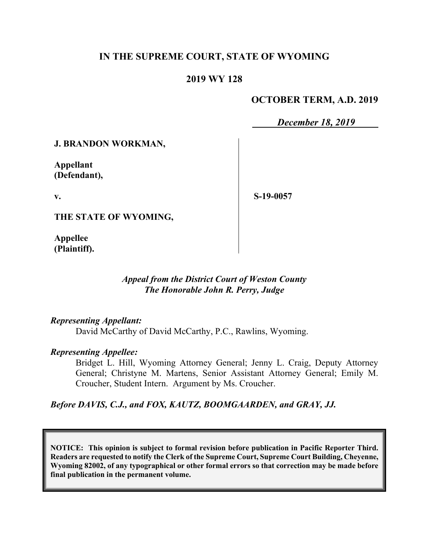# **IN THE SUPREME COURT, STATE OF WYOMING**

## **2019 WY 128**

# **OCTOBER TERM, A.D. 2019**

*December 18, 2019*

#### **J. BRANDON WORKMAN,**

**Appellant (Defendant),**

**v.**

**S-19-0057**

**THE STATE OF WYOMING,**

**Appellee (Plaintiff).**

## *Appeal from the District Court of Weston County The Honorable John R. Perry, Judge*

#### *Representing Appellant:*

David McCarthy of David McCarthy, P.C., Rawlins, Wyoming.

#### *Representing Appellee:*

Bridget L. Hill, Wyoming Attorney General; Jenny L. Craig, Deputy Attorney General; Christyne M. Martens, Senior Assistant Attorney General; Emily M. Croucher, Student Intern. Argument by Ms. Croucher.

# *Before DAVIS, C.J., and FOX, KAUTZ, BOOMGAARDEN, and GRAY, JJ.*

**NOTICE: This opinion is subject to formal revision before publication in Pacific Reporter Third. Readers are requested to notify the Clerk of the Supreme Court, Supreme Court Building, Cheyenne, Wyoming 82002, of any typographical or other formal errors so that correction may be made before final publication in the permanent volume.**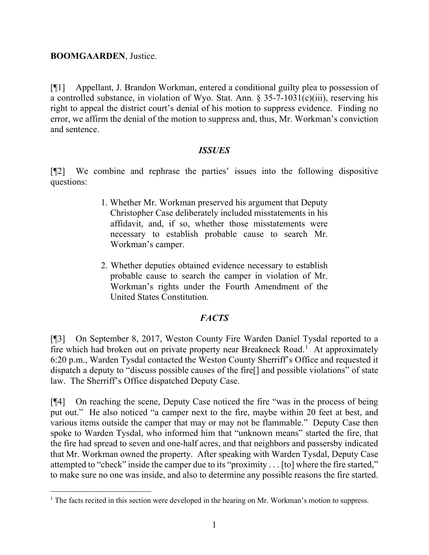## **BOOMGAARDEN**, Justice.

[¶1] Appellant, J. Brandon Workman, entered a conditional guilty plea to possession of a controlled substance, in violation of Wyo. Stat. Ann. § 35-7-1031(c)(iii), reserving his right to appeal the district court's denial of his motion to suppress evidence. Finding no error, we affirm the denial of the motion to suppress and, thus, Mr. Workman's conviction and sentence.

## *ISSUES*

[¶2] We combine and rephrase the parties' issues into the following dispositive questions:

- 1. Whether Mr. Workman preserved his argument that Deputy Christopher Case deliberately included misstatements in his affidavit, and, if so, whether those misstatements were necessary to establish probable cause to search Mr. Workman's camper.
- 2. Whether deputies obtained evidence necessary to establish probable cause to search the camper in violation of Mr. Workman's rights under the Fourth Amendment of the United States Constitution.

# *FACTS*

[¶3] On September 8, 2017, Weston County Fire Warden Daniel Tysdal reported to a fire which had broken out on private property near Breakneck Road.<sup>[1](#page-1-0)</sup> At approximately 6:20 p.m., Warden Tysdal contacted the Weston County Sherriff's Office and requested it dispatch a deputy to "discuss possible causes of the fire[] and possible violations" of state law. The Sherriff's Office dispatched Deputy Case.

[¶4] On reaching the scene, Deputy Case noticed the fire "was in the process of being put out." He also noticed "a camper next to the fire, maybe within 20 feet at best, and various items outside the camper that may or may not be flammable." Deputy Case then spoke to Warden Tysdal, who informed him that "unknown means" started the fire, that the fire had spread to seven and one-half acres, and that neighbors and passersby indicated that Mr. Workman owned the property. After speaking with Warden Tysdal, Deputy Case attempted to "check" inside the camper due to its "proximity . . . [to] where the fire started," to make sure no one was inside, and also to determine any possible reasons the fire started.

<span id="page-1-0"></span><sup>&</sup>lt;sup>1</sup> The facts recited in this section were developed in the hearing on Mr. Workman's motion to suppress.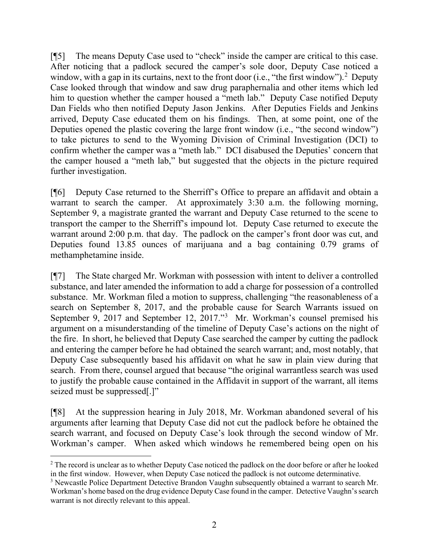[¶5] The means Deputy Case used to "check" inside the camper are critical to this case. After noticing that a padlock secured the camper's sole door, Deputy Case noticed a window, with a gap in its curtains, next to the front door (i.e., "the first window").<sup>[2](#page-2-0)</sup> Deputy Case looked through that window and saw drug paraphernalia and other items which led him to question whether the camper housed a "meth lab." Deputy Case notified Deputy Dan Fields who then notified Deputy Jason Jenkins. After Deputies Fields and Jenkins arrived, Deputy Case educated them on his findings. Then, at some point, one of the Deputies opened the plastic covering the large front window (i.e., "the second window") to take pictures to send to the Wyoming Division of Criminal Investigation (DCI) to confirm whether the camper was a "meth lab." DCI disabused the Deputies' concern that the camper housed a "meth lab," but suggested that the objects in the picture required further investigation.

[¶6] Deputy Case returned to the Sherriff's Office to prepare an affidavit and obtain a warrant to search the camper. At approximately 3:30 a.m. the following morning, September 9, a magistrate granted the warrant and Deputy Case returned to the scene to transport the camper to the Sherriff's impound lot. Deputy Case returned to execute the warrant around 2:00 p.m. that day. The padlock on the camper's front door was cut, and Deputies found 13.85 ounces of marijuana and a bag containing 0.79 grams of methamphetamine inside.

[¶7] The State charged Mr. Workman with possession with intent to deliver a controlled substance, and later amended the information to add a charge for possession of a controlled substance. Mr. Workman filed a motion to suppress, challenging "the reasonableness of a search on September 8, 2017, and the probable cause for Search Warrants issued on September 9, 2017 and September 12, 2017."<sup>[3](#page-2-1)</sup> Mr. Workman's counsel premised his argument on a misunderstanding of the timeline of Deputy Case's actions on the night of the fire. In short, he believed that Deputy Case searched the camper by cutting the padlock and entering the camper before he had obtained the search warrant; and, most notably, that Deputy Case subsequently based his affidavit on what he saw in plain view during that search. From there, counsel argued that because "the original warrantless search was used to justify the probable cause contained in the Affidavit in support of the warrant, all items seized must be suppressed[.]"

[¶8] At the suppression hearing in July 2018, Mr. Workman abandoned several of his arguments after learning that Deputy Case did not cut the padlock before he obtained the search warrant, and focused on Deputy Case's look through the second window of Mr. Workman's camper. When asked which windows he remembered being open on his

<span id="page-2-0"></span><sup>&</sup>lt;sup>2</sup> The record is unclear as to whether Deputy Case noticed the padlock on the door before or after he looked in the first window. However, when Deputy Case noticed the padlock is not outcome determinative.

<span id="page-2-1"></span><sup>&</sup>lt;sup>3</sup> Newcastle Police Department Detective Brandon Vaughn subsequently obtained a warrant to search Mr. Workman's home based on the drug evidence Deputy Case found in the camper. Detective Vaughn's search warrant is not directly relevant to this appeal.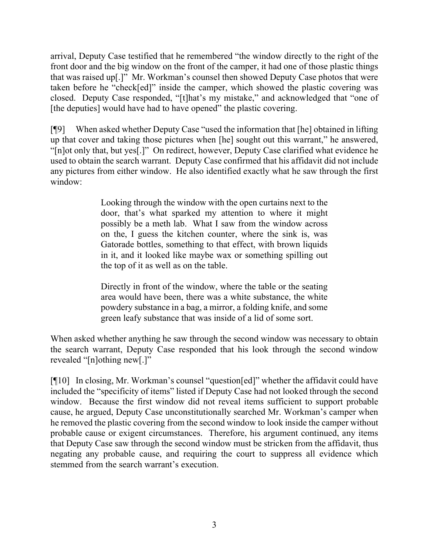arrival, Deputy Case testified that he remembered "the window directly to the right of the front door and the big window on the front of the camper, it had one of those plastic things that was raised up[.]" Mr. Workman's counsel then showed Deputy Case photos that were taken before he "check[ed]" inside the camper, which showed the plastic covering was closed. Deputy Case responded, "[t]hat's my mistake," and acknowledged that "one of [the deputies] would have had to have opened" the plastic covering.

[¶9] When asked whether Deputy Case "used the information that [he] obtained in lifting up that cover and taking those pictures when [he] sought out this warrant," he answered, "[n]ot only that, but yes[.]" On redirect, however, Deputy Case clarified what evidence he used to obtain the search warrant. Deputy Case confirmed that his affidavit did not include any pictures from either window. He also identified exactly what he saw through the first window:

> Looking through the window with the open curtains next to the door, that's what sparked my attention to where it might possibly be a meth lab. What I saw from the window across on the, I guess the kitchen counter, where the sink is, was Gatorade bottles, something to that effect, with brown liquids in it, and it looked like maybe wax or something spilling out the top of it as well as on the table.

> Directly in front of the window, where the table or the seating area would have been, there was a white substance, the white powdery substance in a bag, a mirror, a folding knife, and some green leafy substance that was inside of a lid of some sort.

When asked whether anything he saw through the second window was necessary to obtain the search warrant, Deputy Case responded that his look through the second window revealed "[n]othing new[.]"

[¶10] In closing, Mr. Workman's counsel "question[ed]" whether the affidavit could have included the "specificity of items" listed if Deputy Case had not looked through the second window. Because the first window did not reveal items sufficient to support probable cause, he argued, Deputy Case unconstitutionally searched Mr. Workman's camper when he removed the plastic covering from the second window to look inside the camper without probable cause or exigent circumstances. Therefore, his argument continued, any items that Deputy Case saw through the second window must be stricken from the affidavit, thus negating any probable cause, and requiring the court to suppress all evidence which stemmed from the search warrant's execution.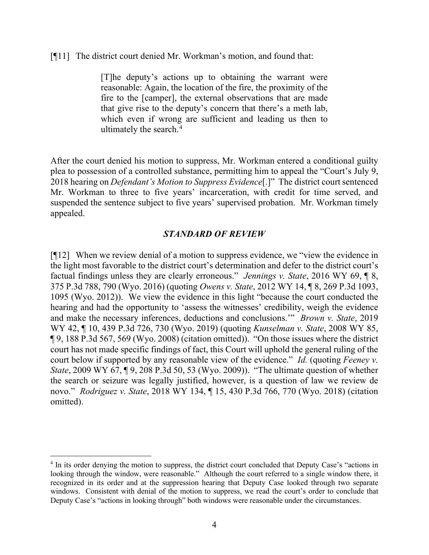[¶11] The district court denied Mr. Workman's motion, and found that:

[T]he deputy's actions up to obtaining the warrant were reasonable: Again, the location of the fire, the proximity of the fire to the [camper], the external observations that are made that give rise to the deputy's concern that there's a meth lab, which even if wrong are sufficient and leading us then to ultimately the search.[4](#page-4-0)

After the court denied his motion to suppress, Mr. Workman entered a conditional guilty plea to possession of a controlled substance, permitting him to appeal the "Court's July 9, 2018 hearing on *Defendant's Motion to Suppress Evidence*[.]" The district court sentenced Mr. Workman to three to five years' incarceration, with credit for time served, and suspended the sentence subject to five years' supervised probation. Mr. Workman timely appealed.

# *STANDARD OF REVIEW*

[¶12] When we review denial of a motion to suppress evidence, we "view the evidence in the light most favorable to the district court's determination and defer to the district court's factual findings unless they are clearly erroneous." *Jennings v. State*, 2016 WY 69, ¶ 8, 375 P.3d 788, 790 (Wyo. 2016) (quoting *Owens v. State*, 2012 WY 14, ¶ 8, 269 P.3d 1093, 1095 (Wyo. 2012)). We view the evidence in this light "because the court conducted the hearing and had the opportunity to 'assess the witnesses' credibility, weigh the evidence and make the necessary inferences, deductions and conclusions.'" *Brown v. State*, 2019 WY 42, ¶ 10, 439 P.3d 726, 730 (Wyo. 2019) (quoting *Kunselman v. State*, 2008 WY 85, ¶ 9, 188 P.3d 567, 569 (Wyo. 2008) (citation omitted)). "On those issues where the district court has not made specific findings of fact, this Court will uphold the general ruling of the court below if supported by any reasonable view of the evidence." *Id.* (quoting *Feeney v. State*, 2009 WY 67, 19, 208 P.3d 50, 53 (Wyo. 2009)). "The ultimate question of whether the search or seizure was legally justified, however, is a question of law we review de novo." *Rodriguez v. State*, 2018 WY 134, ¶ 15, 430 P.3d 766, 770 (Wyo. 2018) (citation omitted).

<span id="page-4-0"></span><sup>&</sup>lt;sup>4</sup> In its order denying the motion to suppress, the district court concluded that Deputy Case's "actions in looking through the window, were reasonable." Although the court referred to a single window there, it recognized in its order and at the suppression hearing that Deputy Case looked through two separate windows. Consistent with denial of the motion to suppress, we read the court's order to conclude that Deputy Case's "actions in looking through" both windows were reasonable under the circumstances.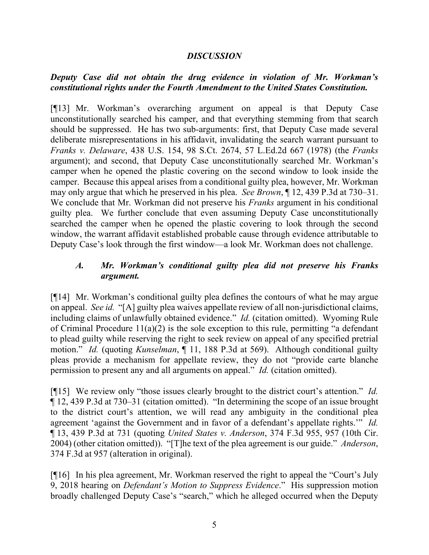#### *DISCUSSION*

# *Deputy Case did not obtain the drug evidence in violation of Mr. Workman's constitutional rights under the Fourth Amendment to the United States Constitution.*

[¶13] Mr. Workman's overarching argument on appeal is that Deputy Case unconstitutionally searched his camper, and that everything stemming from that search should be suppressed. He has two sub-arguments: first, that Deputy Case made several deliberate misrepresentations in his affidavit, invalidating the search warrant pursuant to *Franks v. Delaware*, 438 U.S. 154, 98 S.Ct. 2674, 57 L.Ed.2d 667 (1978) (the *Franks*  argument); and second, that Deputy Case unconstitutionally searched Mr. Workman's camper when he opened the plastic covering on the second window to look inside the camper. Because this appeal arises from a conditional guilty plea, however, Mr. Workman may only argue that which he preserved in his plea. *See Brown*, ¶ 12, 439 P.3d at 730–31. We conclude that Mr. Workman did not preserve his *Franks* argument in his conditional guilty plea. We further conclude that even assuming Deputy Case unconstitutionally searched the camper when he opened the plastic covering to look through the second window, the warrant affidavit established probable cause through evidence attributable to Deputy Case's look through the first window—a look Mr. Workman does not challenge.

# *A. Mr. Workman's conditional guilty plea did not preserve his Franks argument.*

[¶14] Mr. Workman's conditional guilty plea defines the contours of what he may argue on appeal. *See id.* "[A] guilty plea waives appellate review of all non-jurisdictional claims, including claims of unlawfully obtained evidence." *Id.* (citation omitted). Wyoming Rule of Criminal Procedure 11(a)(2) is the sole exception to this rule, permitting "a defendant to plead guilty while reserving the right to seek review on appeal of any specified pretrial motion." *Id.* (quoting *Kunselman*, ¶ 11, 188 P.3d at 569). Although conditional guilty pleas provide a mechanism for appellate review, they do not "provide carte blanche permission to present any and all arguments on appeal." *Id.* (citation omitted).

[¶15] We review only "those issues clearly brought to the district court's attention." *Id.* ¶ 12, 439 P.3d at 730–31 (citation omitted). "In determining the scope of an issue brought to the district court's attention, we will read any ambiguity in the conditional plea agreement 'against the Government and in favor of a defendant's appellate rights.'" *Id.* ¶ 13, 439 P.3d at 731 (quoting *United States v. Anderson*, 374 F.3d 955, 957 (10th Cir. 2004) (other citation omitted)). "[T]he text of the plea agreement is our guide." *Anderson*, 374 F.3d at 957 (alteration in original).

[¶16] In his plea agreement, Mr. Workman reserved the right to appeal the "Court's July 9, 2018 hearing on *Defendant's Motion to Suppress Evidence*." His suppression motion broadly challenged Deputy Case's "search," which he alleged occurred when the Deputy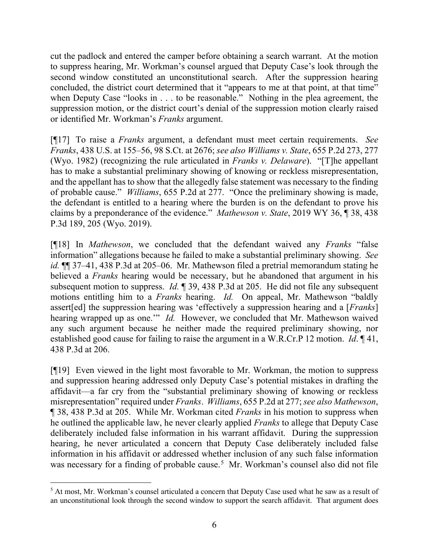cut the padlock and entered the camper before obtaining a search warrant. At the motion to suppress hearing, Mr. Workman's counsel argued that Deputy Case's look through the second window constituted an unconstitutional search. After the suppression hearing concluded, the district court determined that it "appears to me at that point, at that time" when Deputy Case "looks in . . . to be reasonable." Nothing in the plea agreement, the suppression motion, or the district court's denial of the suppression motion clearly raised or identified Mr. Workman's *Franks* argument.

[¶17] To raise a *Franks* argument, a defendant must meet certain requirements. *See Franks*, 438 U.S. at 155–56, 98 S.Ct. at 2676; *see also Williams v. State*, 655 P.2d 273, 277 (Wyo. 1982) (recognizing the rule articulated in *Franks v. Delaware*). "[T]he appellant has to make a substantial preliminary showing of knowing or reckless misrepresentation, and the appellant has to show that the allegedly false statement was necessary to the finding of probable cause." *Williams*, 655 P.2d at 277. "Once the preliminary showing is made, the defendant is entitled to a hearing where the burden is on the defendant to prove his claims by a preponderance of the evidence." *Mathewson v. State*, 2019 WY 36, ¶ 38, 438 P.3d 189, 205 (Wyo. 2019).

[¶18] In *Mathewson*, we concluded that the defendant waived any *Franks* "false information" allegations because he failed to make a substantial preliminary showing. *See id.* ¶¶ 37–41, 438 P.3d at 205–06. Mr. Mathewson filed a pretrial memorandum stating he believed a *Franks* hearing would be necessary, but he abandoned that argument in his subsequent motion to suppress. *Id.* ¶ 39, 438 P.3d at 205. He did not file any subsequent motions entitling him to a *Franks* hearing. *Id.* On appeal, Mr. Mathewson "baldly assert[ed] the suppression hearing was 'effectively a suppression hearing and a [*Franks*] hearing wrapped up as one.'" *Id.* However, we concluded that Mr. Mathewson waived any such argument because he neither made the required preliminary showing, nor established good cause for failing to raise the argument in a W.R.Cr.P 12 motion. *Id*. ¶ 41, 438 P.3d at 206.

[¶19] Even viewed in the light most favorable to Mr. Workman, the motion to suppress and suppression hearing addressed only Deputy Case's potential mistakes in drafting the affidavit—a far cry from the "substantial preliminary showing of knowing or reckless misrepresentation" required under *Franks*. *Williams*, 655 P.2d at 277; *see also Mathewson*, ¶ 38, 438 P.3d at 205. While Mr. Workman cited *Franks* in his motion to suppress when he outlined the applicable law, he never clearly applied *Franks* to allege that Deputy Case deliberately included false information in his warrant affidavit. During the suppression hearing, he never articulated a concern that Deputy Case deliberately included false information in his affidavit or addressed whether inclusion of any such false information was necessary for a finding of probable cause.<sup>[5](#page-6-0)</sup> Mr. Workman's counsel also did not file

<span id="page-6-0"></span><sup>&</sup>lt;sup>5</sup> At most, Mr. Workman's counsel articulated a concern that Deputy Case used what he saw as a result of an unconstitutional look through the second window to support the search affidavit. That argument does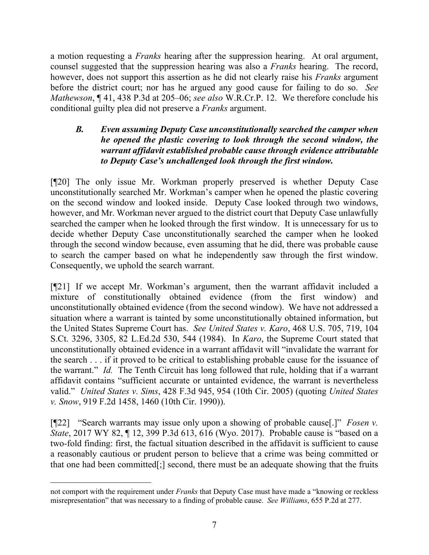a motion requesting a *Franks* hearing after the suppression hearing. At oral argument, counsel suggested that the suppression hearing was also a *Franks* hearing. The record, however, does not support this assertion as he did not clearly raise his *Franks* argument before the district court; nor has he argued any good cause for failing to do so. *See Mathewson*, ¶ 41, 438 P.3d at 205–06; *see also* W.R.Cr.P. 12. We therefore conclude his conditional guilty plea did not preserve a *Franks* argument.

# *B. Even assuming Deputy Case unconstitutionally searched the camper when he opened the plastic covering to look through the second window, the warrant affidavit established probable cause through evidence attributable to Deputy Case's unchallenged look through the first window.*

[¶20] The only issue Mr. Workman properly preserved is whether Deputy Case unconstitutionally searched Mr. Workman's camper when he opened the plastic covering on the second window and looked inside. Deputy Case looked through two windows, however, and Mr. Workman never argued to the district court that Deputy Case unlawfully searched the camper when he looked through the first window. It is unnecessary for us to decide whether Deputy Case unconstitutionally searched the camper when he looked through the second window because, even assuming that he did, there was probable cause to search the camper based on what he independently saw through the first window. Consequently, we uphold the search warrant.

[¶21] If we accept Mr. Workman's argument, then the warrant affidavit included a mixture of constitutionally obtained evidence (from the first window) and unconstitutionally obtained evidence (from the second window). We have not addressed a situation where a warrant is tainted by some unconstitutionally obtained information, but the United States Supreme Court has. *See United States v. Karo*, 468 U.S. 705, 719, 104 S.Ct. 3296, 3305, 82 L.Ed.2d 530, 544 (1984). In *Karo*, the Supreme Court stated that unconstitutionally obtained evidence in a warrant affidavit will "invalidate the warrant for the search . . . if it proved to be critical to establishing probable cause for the issuance of the warrant." *Id.* The Tenth Circuit has long followed that rule, holding that if a warrant affidavit contains "sufficient accurate or untainted evidence, the warrant is nevertheless valid." *United States v. Sims*, 428 F.3d 945, 954 (10th Cir. 2005) (quoting *United States v. Snow*, 919 F.2d 1458, 1460 (10th Cir. 1990)).

[¶22] "Search warrants may issue only upon a showing of probable cause[.]" *Fosen v. State*, 2017 WY 82, ¶ 12, 399 P.3d 613, 616 (Wyo. 2017). Probable cause is "based on a two-fold finding: first, the factual situation described in the affidavit is sufficient to cause a reasonably cautious or prudent person to believe that a crime was being committed or that one had been committed[;] second, there must be an adequate showing that the fruits

not comport with the requirement under *Franks* that Deputy Case must have made a "knowing or reckless misrepresentation" that was necessary to a finding of probable cause. *See Williams*, 655 P.2d at 277.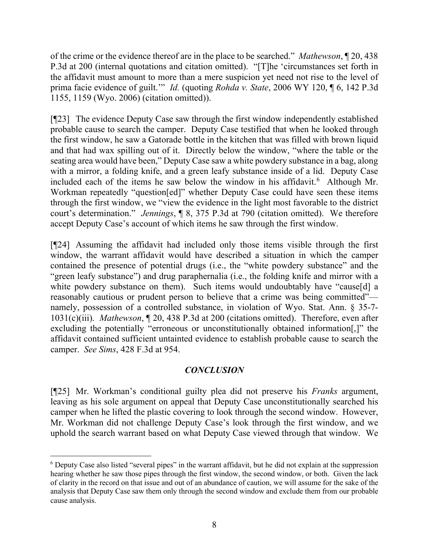of the crime or the evidence thereof are in the place to be searched." *Mathewson*, ¶ 20, 438 P.3d at 200 (internal quotations and citation omitted). "[T]he 'circumstances set forth in the affidavit must amount to more than a mere suspicion yet need not rise to the level of prima facie evidence of guilt.'" *Id.* (quoting *Rohda v. State*, 2006 WY 120, ¶ 6, 142 P.3d 1155, 1159 (Wyo. 2006) (citation omitted)).

[¶23] The evidence Deputy Case saw through the first window independently established probable cause to search the camper. Deputy Case testified that when he looked through the first window, he saw a Gatorade bottle in the kitchen that was filled with brown liquid and that had wax spilling out of it. Directly below the window, "where the table or the seating area would have been," Deputy Case saw a white powdery substance in a bag, along with a mirror, a folding knife, and a green leafy substance inside of a lid. Deputy Case included each of the items he saw below the window in his affidavit.<sup>[6](#page-8-0)</sup> Although Mr. Workman repeatedly "question[ed]" whether Deputy Case could have seen these items through the first window, we "view the evidence in the light most favorable to the district court's determination." *Jennings*, ¶ 8, 375 P.3d at 790 (citation omitted). We therefore accept Deputy Case's account of which items he saw through the first window.

[¶24] Assuming the affidavit had included only those items visible through the first window, the warrant affidavit would have described a situation in which the camper contained the presence of potential drugs (i.e., the "white powdery substance" and the "green leafy substance") and drug paraphernalia (i.e., the folding knife and mirror with a white powdery substance on them). Such items would undoubtably have "cause[d] a reasonably cautious or prudent person to believe that a crime was being committed" namely, possession of a controlled substance, in violation of Wyo. Stat. Ann. § 35-7- 1031(c)(iii). *Mathewson*, ¶ 20, 438 P.3d at 200 (citations omitted). Therefore, even after excluding the potentially "erroneous or unconstitutionally obtained information[,]" the affidavit contained sufficient untainted evidence to establish probable cause to search the camper. *See Sims*, 428 F.3d at 954.

# *CONCLUSION*

[¶25] Mr. Workman's conditional guilty plea did not preserve his *Franks* argument, leaving as his sole argument on appeal that Deputy Case unconstitutionally searched his camper when he lifted the plastic covering to look through the second window. However, Mr. Workman did not challenge Deputy Case's look through the first window, and we uphold the search warrant based on what Deputy Case viewed through that window. We

<span id="page-8-0"></span><sup>&</sup>lt;sup>6</sup> Deputy Case also listed "several pipes" in the warrant affidavit, but he did not explain at the suppression hearing whether he saw those pipes through the first window, the second window, or both. Given the lack of clarity in the record on that issue and out of an abundance of caution, we will assume for the sake of the analysis that Deputy Case saw them only through the second window and exclude them from our probable cause analysis.